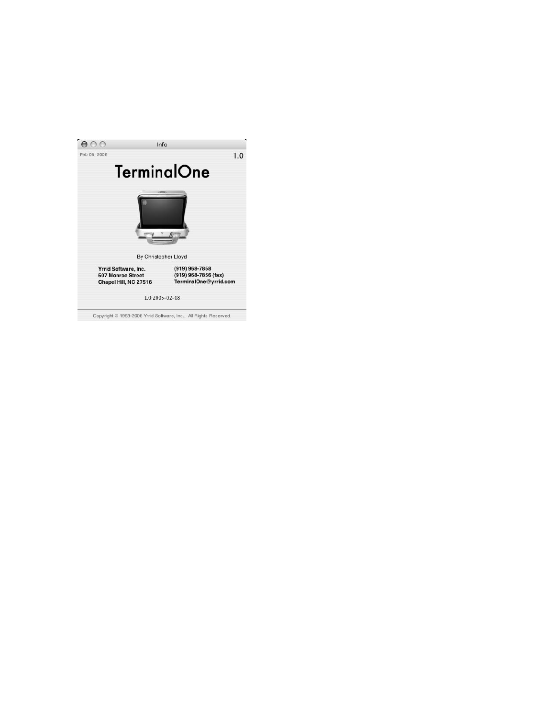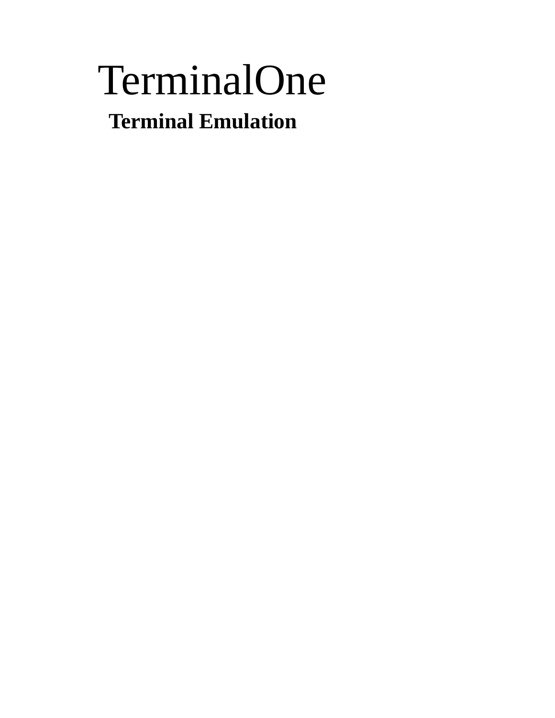# TerminalOne  **Terminal Emulation**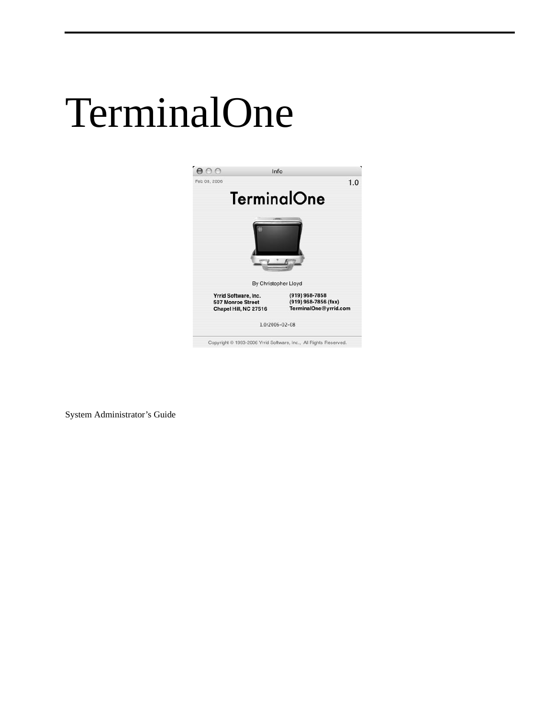# TerminalOne



System Administrator's Guide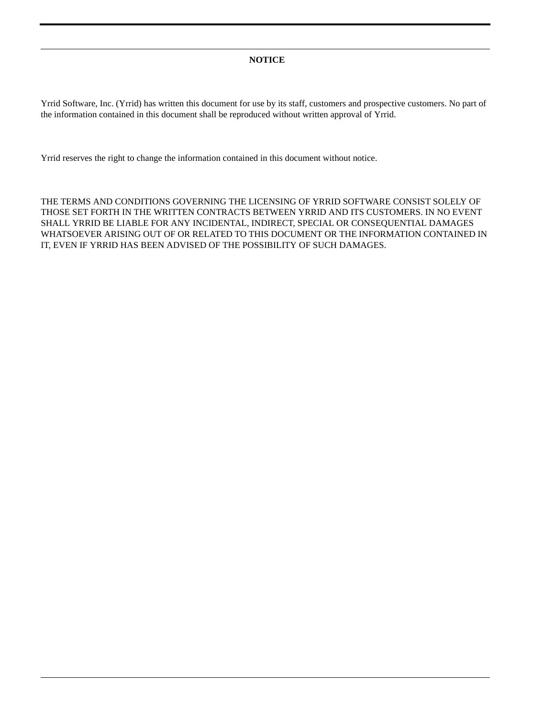#### **NOTICE**

Yrrid Software, Inc. (Yrrid) has written this document for use by its staff, customers and prospective customers. No part of the information contained in this document shall be reproduced without written approval of Yrrid.

Yrrid reserves the right to change the information contained in this document without notice.

THE TERMS AND CONDITIONS GOVERNING THE LICENSING OF YRRID SOFTWARE CONSIST SOLELY OF THOSE SET FORTH IN THE WRITTEN CONTRACTS BETWEEN YRRID AND ITS CUSTOMERS. IN NO EVENT SHALL YRRID BE LIABLE FOR ANY INCIDENTAL, INDIRECT, SPECIAL OR CONSEQUENTIAL DAMAGES WHATSOEVER ARISING OUT OF OR RELATED TO THIS DOCUMENT OR THE INFORMATION CONTAINED IN IT, EVEN IF YRRID HAS BEEN ADVISED OF THE POSSIBILITY OF SUCH DAMAGES.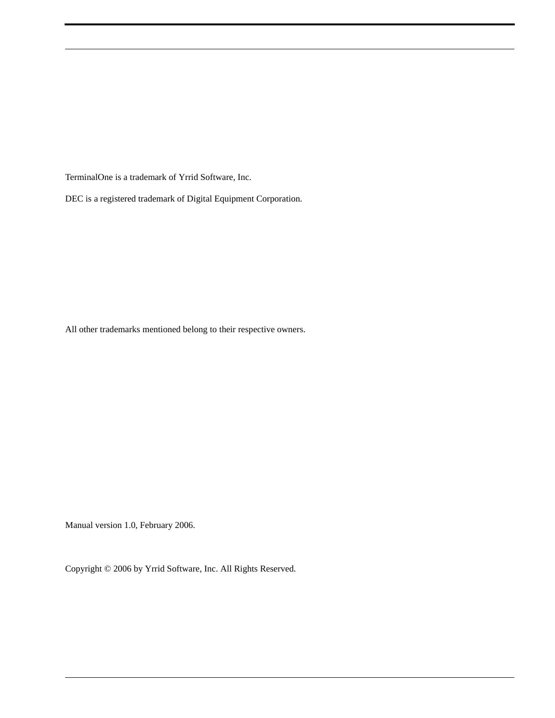TerminalOne is a trademark of Yrrid Software, Inc.

DEC is a registered trademark of Digital Equipment Corporation.

All other trademarks mentioned belong to their respective owners.

Manual version 1.0, February 2006.

Copyright © 2006 by Yrrid Software, Inc. All Rights Reserved.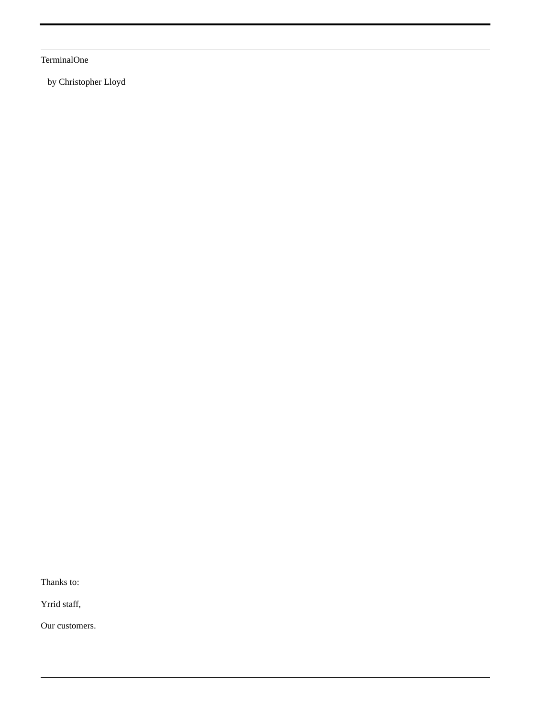TerminalOne

by Christopher Lloyd

Thanks to:

Yrrid staff,

Our customers.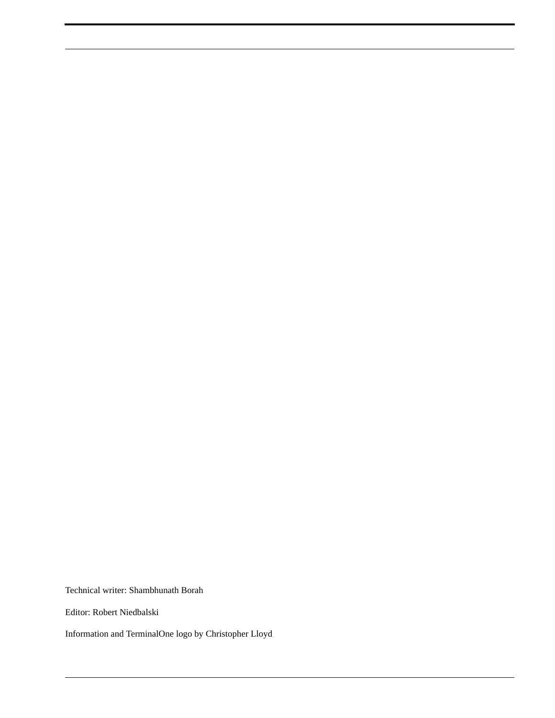Technical writer: Shambhunath Borah

Editor: Robert Niedbalski

Information and TerminalOne logo by Christopher Lloyd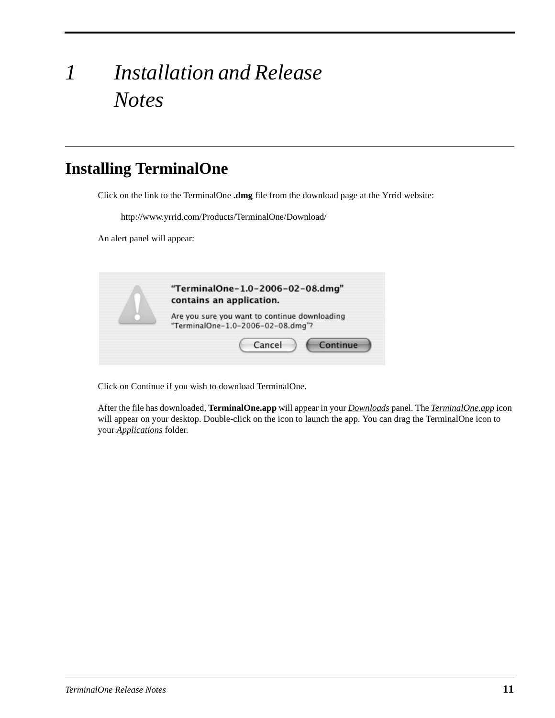# *1 Installation and Release Notes*

## **Installing TerminalOne**

Click on the link to the TerminalOne **.dmg** file from the download page at the Yrrid website:

http://www.yrrid.com/Products/TerminalOne/Download/

An alert panel will appear:



Click on Continue if you wish to download TerminalOne.

After the file has downloaded, **TerminalOne.app** will appear in your *Downloads* panel. The *TerminalOne.app* icon will appear on your desktop. Double-click on the icon to launch the app. You can drag the TerminalOne icon to your *Applications* folder.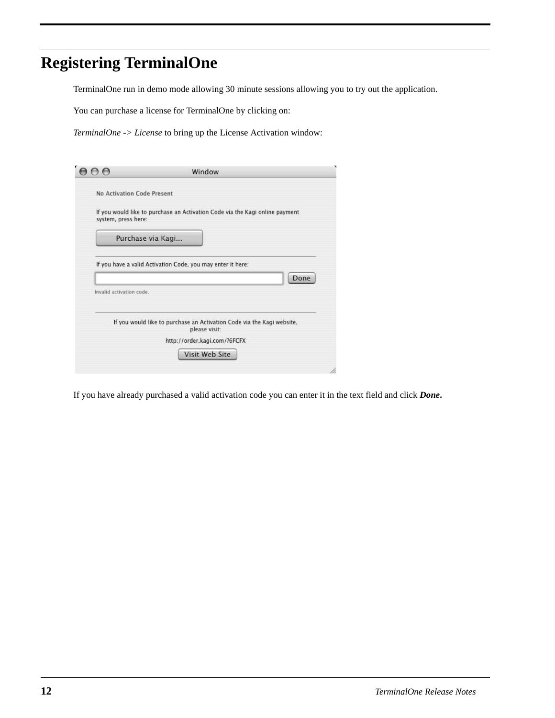# **Registering TerminalOne**

TerminalOne run in demo mode allowing 30 minute sessions allowing you to try out the application.

You can purchase a license for TerminalOne by clicking on:

*TerminalOne -> License* to bring up the License Activation window:

| No Activation Code Present |                                                                                                                                                                                            |
|----------------------------|--------------------------------------------------------------------------------------------------------------------------------------------------------------------------------------------|
|                            |                                                                                                                                                                                            |
|                            | If you would like to purchase an Activation Code via the Kagi online payment                                                                                                               |
|                            |                                                                                                                                                                                            |
|                            |                                                                                                                                                                                            |
|                            | Done                                                                                                                                                                                       |
| please visit:              |                                                                                                                                                                                            |
|                            |                                                                                                                                                                                            |
| Visit Web Site             |                                                                                                                                                                                            |
|                            | Purchase via Kagi<br>If you have a valid Activation Code, you may enter it here:<br>If you would like to purchase an Activation Code via the Kagi website,<br>http://order.kagi.com/?6FCFX |

If you have already purchased a valid activation code you can enter it in the text field and click *Done***.**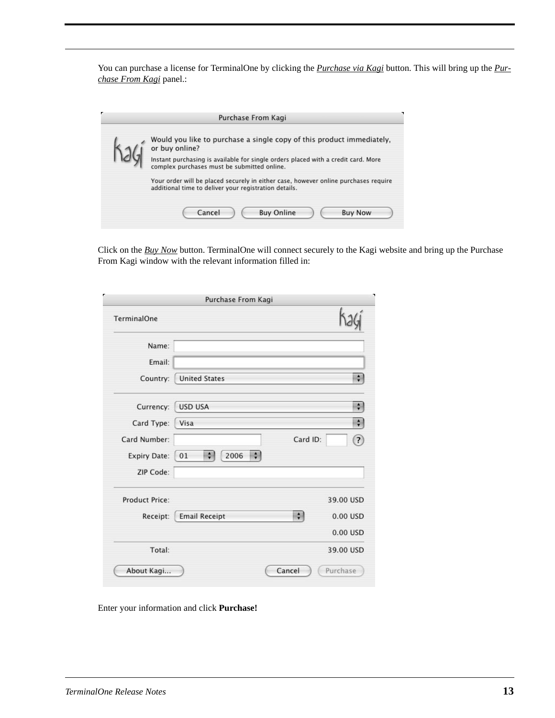You can purchase a license for TerminalOne by clicking the *Purchase via Kagi* button. This will bring up the *Purchase From Kagi* panel.:

| Purchase From Kagi                                                                                                                                                                                                                                                                                                 |
|--------------------------------------------------------------------------------------------------------------------------------------------------------------------------------------------------------------------------------------------------------------------------------------------------------------------|
| Would you like to purchase a single copy of this product immediately,<br>or buy online?<br>Instant purchasing is available for single orders placed with a credit card. More<br>complex purchases must be submitted online.<br>Your order will be placed securely in either case, however online purchases require |
| additional time to deliver your registration details.<br><b>Buy Online</b><br>Cancel<br><b>Buy Now</b>                                                                                                                                                                                                             |

Click on the *Buy Now* button. TerminalOne will connect securely to the Kagi website and bring up the Purchase From Kagi window with the relevant information filled in:

| TerminalOne           | Purchase From Kagi   |                               |
|-----------------------|----------------------|-------------------------------|
| Name:                 |                      |                               |
| Email:                |                      |                               |
| Country:              | <b>United States</b> | $\ddot{\cdot}$                |
| Currency:             | <b>USD USA</b>       | $\ddot{\bm{r}}$               |
| Card Type:            | Visa                 | $\div$                        |
| Card Number:          |                      | Card ID:<br>$\left( 2\right)$ |
| <b>Expiry Date:</b>   | ÷<br>2006<br>÷<br>01 |                               |
| ZIP Code:             |                      |                               |
| <b>Product Price:</b> |                      | 39.00 USD                     |
| Receipt:              | <b>Email Receipt</b> | $\rightarrow$<br>0.00 USD     |
|                       |                      | 0.00 USD                      |
| Total:                |                      | 39.00 USD                     |
| About Kagi            |                      | Cancel<br>Purchase            |

Enter your information and click **Purchase!**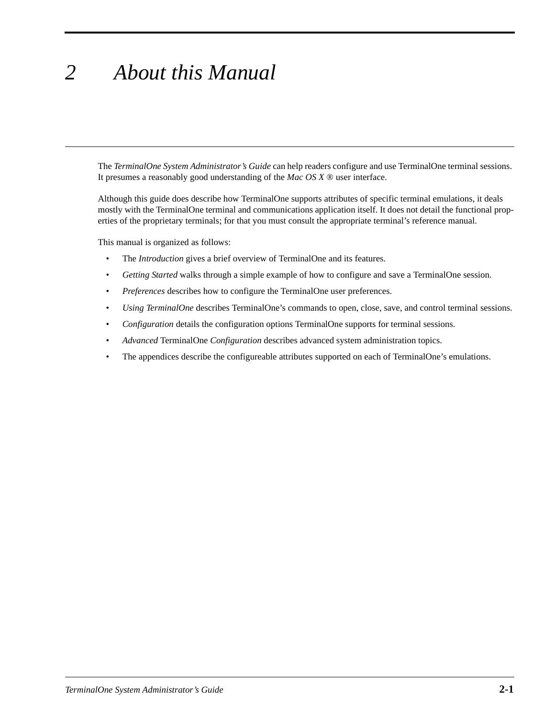# *2 About this Manual*

The *TerminalOne System Administrator's Guide* can help readers configure and use TerminalOne terminal sessions. It presumes a reasonably good understanding of the *Mac OS X* ® user interface.

Although this guide does describe how TerminalOne supports attributes of specific terminal emulations, it deals mostly with the TerminalOne terminal and communications application itself. It does not detail the functional properties of the proprietary terminals; for that you must consult the appropriate terminal's reference manual.

This manual is organized as follows:

- The *Introduction* gives a brief overview of TerminalOne and its features.
- *Getting Started* walks through a simple example of how to configure and save a TerminalOne session.
- *Preferences* describes how to configure the TerminalOne user preferences.
- *Using TerminalOne* describes TerminalOne's commands to open, close, save, and control terminal sessions.
- *Configuration* details the configuration options TerminalOne supports for terminal sessions.
- *Advanced* TerminalOne *Configuration* describes advanced system administration topics.
- The appendices describe the configureable attributes supported on each of TerminalOne's emulations.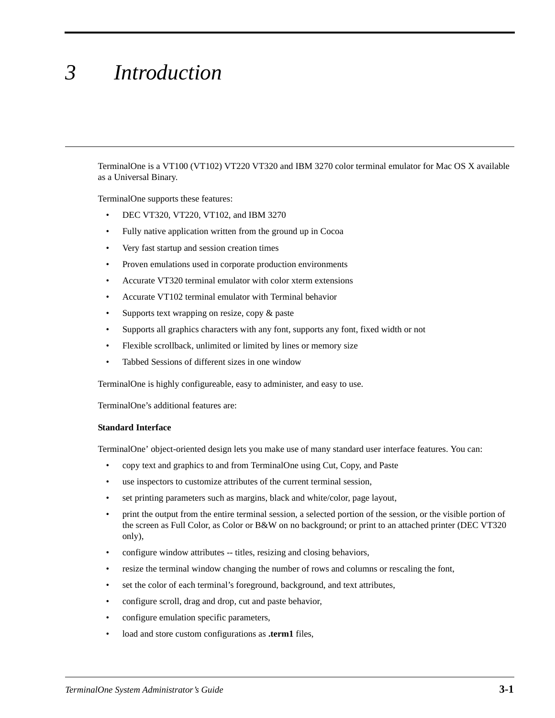# *3 Introduction*

TerminalOne is a VT100 (VT102) VT220 VT320 and IBM 3270 color terminal emulator for Mac OS X available as a Universal Binary.

TerminalOne supports these features:

- DEC VT320, VT220, VT102, and IBM 3270
- Fully native application written from the ground up in Cocoa
- Very fast startup and session creation times
- Proven emulations used in corporate production environments
- Accurate VT320 terminal emulator with color xterm extensions
- Accurate VT102 terminal emulator with Terminal behavior
- Supports text wrapping on resize, copy & paste
- Supports all graphics characters with any font, supports any font, fixed width or not
- Flexible scrollback, unlimited or limited by lines or memory size
- Tabbed Sessions of different sizes in one window

TerminalOne is highly configureable, easy to administer, and easy to use.

TerminalOne's additional features are:

#### **Standard Interface**

TerminalOne' object-oriented design lets you make use of many standard user interface features. You can:

- copy text and graphics to and from TerminalOne using Cut, Copy, and Paste
- use inspectors to customize attributes of the current terminal session,
- set printing parameters such as margins, black and white/color, page layout,
- print the output from the entire terminal session, a selected portion of the session, or the visible portion of the screen as Full Color, as Color or B&W on no background; or print to an attached printer (DEC VT320 only),
- configure window attributes -- titles, resizing and closing behaviors,
- resize the terminal window changing the number of rows and columns or rescaling the font,
- set the color of each terminal's foreground, background, and text attributes,
- configure scroll, drag and drop, cut and paste behavior,
- configure emulation specific parameters,
- load and store custom configurations as **.term1** files,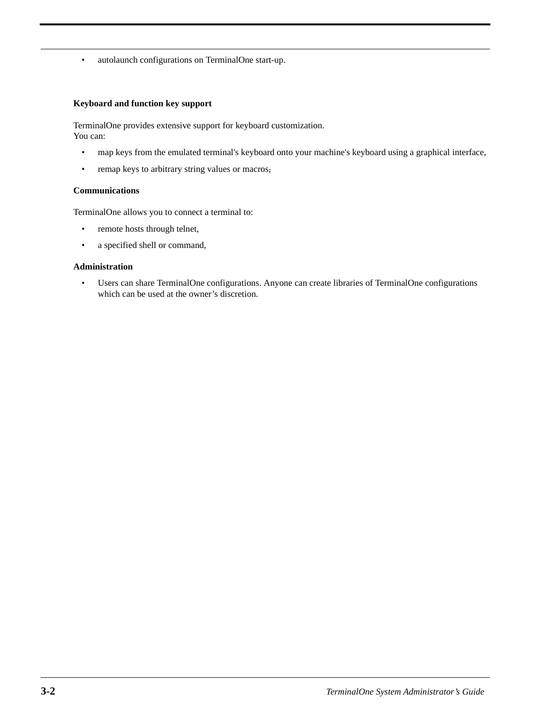• autolaunch configurations on TerminalOne start-up.

#### **Keyboard and function key support**

TerminalOne provides extensive support for keyboard customization. You can:

- map keys from the emulated terminal's keyboard onto your machine's keyboard using a graphical interface,
- remap keys to arbitrary string values or macros,

#### **Communications**

TerminalOne allows you to connect a terminal to:

- remote hosts through telnet,
- a specified shell or command,

#### **Administration**

• Users can share TerminalOne configurations. Anyone can create libraries of TerminalOne configurations which can be used at the owner's discretion.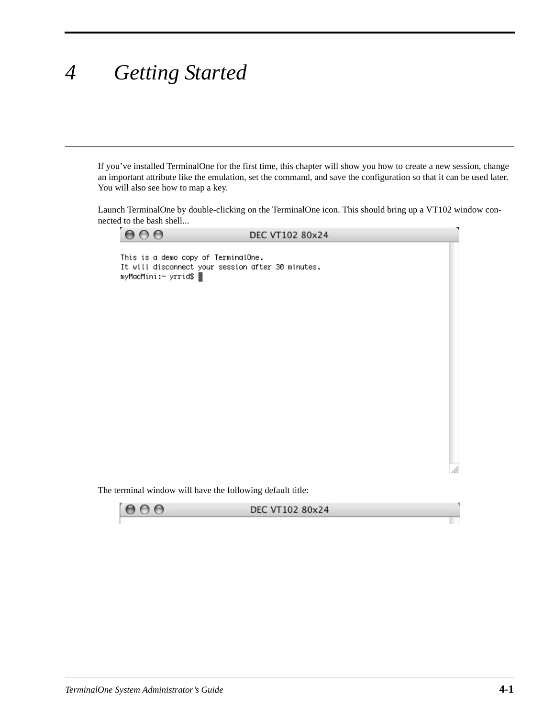# *4 Getting Started*

If you've installed TerminalOne for the first time, this chapter will show you how to create a new session, change an important attribute like the emulation, set the command, and save the configuration so that it can be used later. You will also see how to map a key.

Launch TerminalOne by double-clicking on the TerminalOne icon. This should bring up a VT102 window connected to the bash shell...

 $\Theta$  $\circ$   $\circ$ DEC VT102 80x24 This is a demo copy of TerminalOne. It will disconnect your session after 30 minutes. myMacMini:~ yrrid\$

The terminal window will have the following default title:



/i.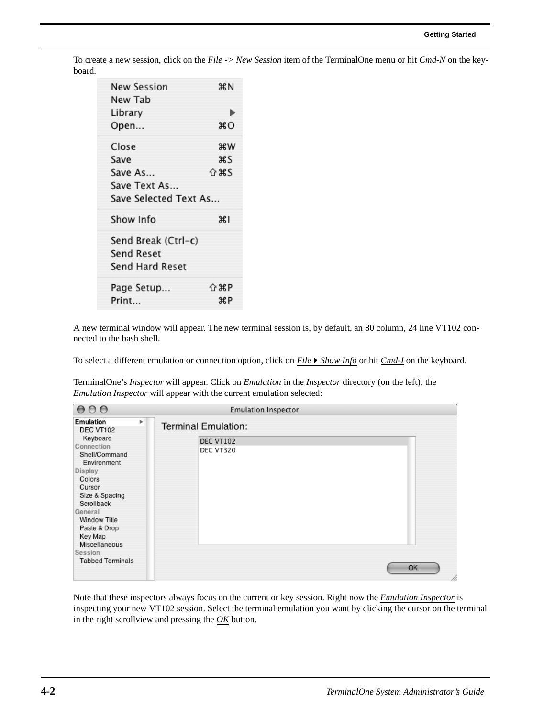To create a new session, click on the *File -> New Session* item of the TerminalOne menu or hit *Cmd-N* on the keyboard.

| New Session           | жN           |
|-----------------------|--------------|
| New Tab               |              |
| Library               | ٠            |
| Open                  | жO           |
| Close                 | жw           |
| Save                  | жs           |
| Save As               | <u> ብ ቋና</u> |
| Save Text As          |              |
| Save Selected Text As |              |
| Show Info             | ЖI           |
| Send Break (Ctrl-c)   |              |
| Send Reset            |              |
| Send Hard Reset       |              |
| Page Setup            | 介出P          |
| Print                 | жP           |

A new terminal window will appear. The new terminal session is, by default, an 80 column, 24 line VT102 connected to the bash shell.

To select a different emulation or connection option, click on *FileShow Info* or hit *Cmd-I* on the keyboard.

TerminalOne's *Inspector* will appear. Click on *Emulation* in the *Inspector* directory (on the left); the *Emulation Inspector* will appear with the current emulation selected:

| 000                                                                                                                                                                                                                                                                      | <b>Emulation Inspector</b>                                  |           |
|--------------------------------------------------------------------------------------------------------------------------------------------------------------------------------------------------------------------------------------------------------------------------|-------------------------------------------------------------|-----------|
| Emulation<br>Þ<br>DEC VT102<br>Keyboard<br>Connection<br>Shell/Command<br>Environment<br><b>Display</b><br>Colors<br>Cursor<br>Size & Spacing<br>Scrollback<br>General<br>Window Title<br>Paste & Drop<br>Key Map<br>Miscellaneous<br>Session<br><b>Tabbed Terminals</b> | <b>Terminal Emulation:</b><br><b>DEC VT102</b><br>DEC VT320 | OK<br>/i. |
|                                                                                                                                                                                                                                                                          |                                                             |           |

Note that these inspectors always focus on the current or key session. Right now the *Emulation Inspector* is inspecting your new VT102 session. Select the terminal emulation you want by clicking the cursor on the terminal in the right scrollview and pressing the *OK* button.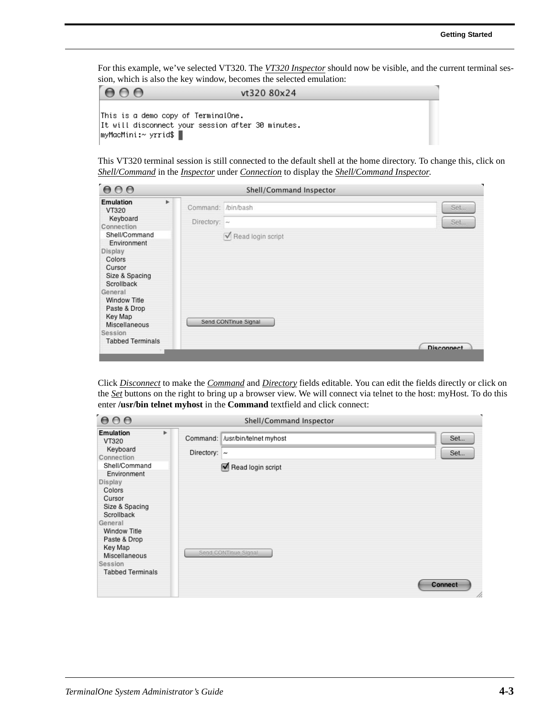For this example, we've selected VT320. The *VT320 Inspector* should now be visible, and the current terminal session, which is also the key window, becomes the selected emulation:

| AA                                                                                                               | vt320 80x24 |  |
|------------------------------------------------------------------------------------------------------------------|-------------|--|
| This is a demo copy of TerminalOne.<br>It will disconnect your session after 30 minutes.<br> myMacMini:∼ yrrid\$ |             |  |

This VT320 terminal session is still connected to the default shell at the home directory. To change this, click on *Shell/Command* in the *Inspector* under *Connection* to display the *Shell/Command Inspector*.



Click *Disconnect* to make the *Command* and *Directory* fields editable. You can edit the fields directly or click on the *Set* buttons on the right to bring up a browser view. We will connect via telnet to the host: myHost. To do this enter **/usr/bin telnet myhost** in the **Command** textfield and click connect:

| 000                                                                                                                                                                                                                                                      |    |                   | Shell/Command Inspector                                                      |                              |
|----------------------------------------------------------------------------------------------------------------------------------------------------------------------------------------------------------------------------------------------------------|----|-------------------|------------------------------------------------------------------------------|------------------------------|
| Emulation<br>VT320<br>Keyboard<br>Connection<br>Shell/Command<br>Environment<br>Display<br>Colors<br>Cursor<br>Size & Spacing<br>Scrollback<br>General<br>Window Title<br>Paste & Drop<br>Key Map<br>Miscellaneous<br>Session<br><b>Tabbed Terminals</b> | Þ. | Directory: $\sim$ | Command: /usr/bin/telnet myhost<br>Read login script<br>Send CONTinue Signal | Set<br>Set<br><b>Connect</b> |
|                                                                                                                                                                                                                                                          |    |                   |                                                                              | /i.                          |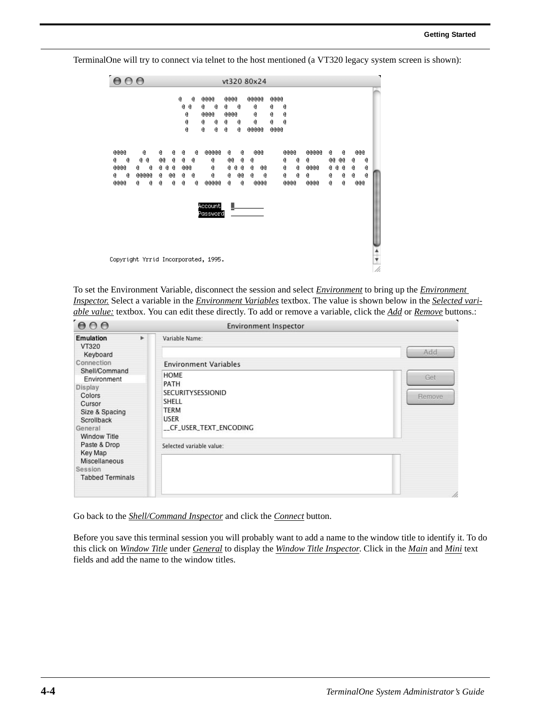TerminalOne will try to connect via telnet to the host mentioned (a VT320 legacy system screen is shown):



To set the Environment Variable, disconnect the session and select *Environment* to bring up the *Environment Inspector.* Select a variable in the *Environment Variables* textbox. The value is shown below in the *Selected variable value:* textbox. You can edit these directly. To add or remove a variable, click the *Add* or *Remove* buttons.:

| 000                                                                                                                           | <b>Environment Inspector</b> |                                                                                                   |               |  |
|-------------------------------------------------------------------------------------------------------------------------------|------------------------------|---------------------------------------------------------------------------------------------------|---------------|--|
| <b>Emulation</b><br>VT320<br>Keyboard                                                                                         | r                            | Variable Name:                                                                                    | Add           |  |
| Connection                                                                                                                    |                              | <b>Environment Variables</b>                                                                      |               |  |
| Shell/Command<br>Environment<br>Display<br>Colors<br>Cursor<br>Size & Spacing<br>Scrollback<br>General<br><b>Window Title</b> |                              | HOME<br>PATH<br>SECURITYSESSIONID<br>SHELL<br><b>TERM</b><br><b>USER</b><br>CF_USER_TEXT_ENCODING | Get<br>Remove |  |
| Paste & Drop<br>Key Map<br>Miscellaneous<br>Session<br><b>Tabbed Terminals</b>                                                |                              | Selected variable value:                                                                          |               |  |
|                                                                                                                               |                              |                                                                                                   | h.            |  |

Go back to the *Shell/Command Inspector* and click the *Connect* button.

Before you save this terminal session you will probably want to add a name to the window title to identify it. To do this click on *Window Title* under *General* to display the *Window Title Inspector*. Click in the *Main* and *Mini* text fields and add the name to the window titles.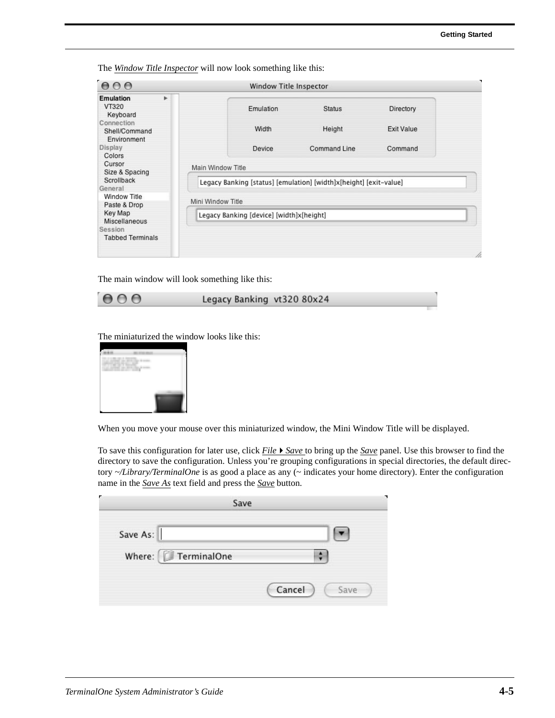The *Window Title Inspector* will now look something like this:

| <b>Emulation</b><br>۰                      |                   |                                          |                                                                   |                   |
|--------------------------------------------|-------------------|------------------------------------------|-------------------------------------------------------------------|-------------------|
| VT320<br>Keyboard                          |                   | Emulation                                | <b>Status</b>                                                     | Directory         |
| Connection<br>Shell/Command<br>Environment |                   | Width                                    | Height                                                            | <b>Exit Value</b> |
| Display<br>Colors                          |                   | Device                                   | <b>Command Line</b>                                               | Command           |
| Cursor<br>Size & Spacing                   | Main Window Title |                                          |                                                                   |                   |
| Scrollback<br>General                      |                   |                                          | Legacy Banking [status] [emulation] [width]x[height] [exit-value] |                   |
| <b>Window Title</b><br>Paste & Drop        | Mini Window Title |                                          |                                                                   |                   |
| Key Map<br>Miscellaneous                   |                   | Legacy Banking [device] [width]x[height] |                                                                   |                   |
| Session<br><b>Tabbed Terminals</b>         |                   |                                          |                                                                   |                   |

The main window will look something like this:

 $000$ 

Legacy Banking vt320 80x24

The miniaturized the window looks like this:



When you move your mouse over this miniaturized window, the Mini Window Title will be displayed.

To save this configuration for later use, click *File* ▶ Save to bring up the Save panel. Use this browser to find the directory to save the configuration. Unless you're grouping configurations in special directories, the default directory *~/Library/TerminalOne* is as good a place as any (~ indicates your home directory). Enter the configuration name in the *Save As* text field and press the *Save* button.

|                    | Save |                |
|--------------------|------|----------------|
| Save As:           |      |                |
| Where: FerminalOne |      |                |
|                    |      | Cancel<br>Save |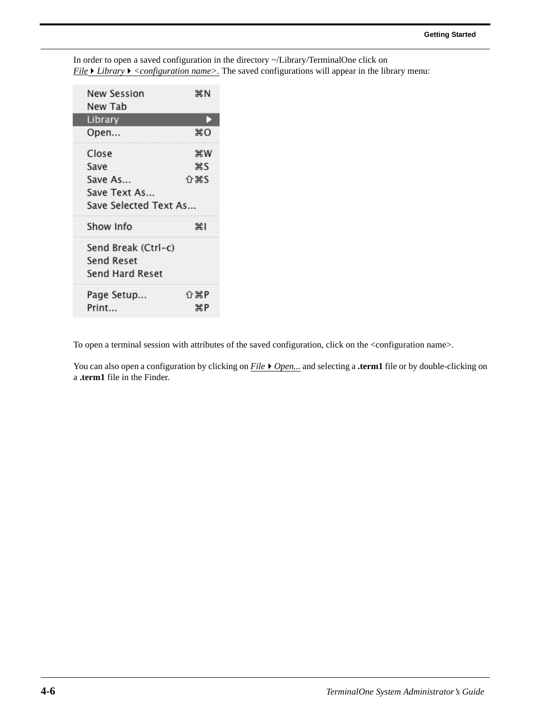| New Session           | жN    |
|-----------------------|-------|
| New Tab               |       |
| Library               | D     |
| Open                  | жO    |
| Close                 | жw    |
| Save                  | жs    |
| Save As               |       |
| Save Text As          |       |
| Save Selected Text As |       |
| Show Info             | श्री  |
| Send Break (Ctrl-c)   |       |
| <b>Send Reset</b>     |       |
| Send Hard Reset       |       |
| Page Setup            | 介 第 P |
| Print                 | жP    |

In order to open a saved configuration in the directory ~/Library/TerminalOne click on *File* ▶ *Library* ▶ <*configuration name>*. The saved configurations will appear in the library menu:

To open a terminal session with attributes of the saved configuration, click on the <configuration name>.

You can also open a configuration by clicking on *File*  $\triangleright$  *Open...* and selecting a **.term1** file or by double-clicking on a **.term1** file in the Finder.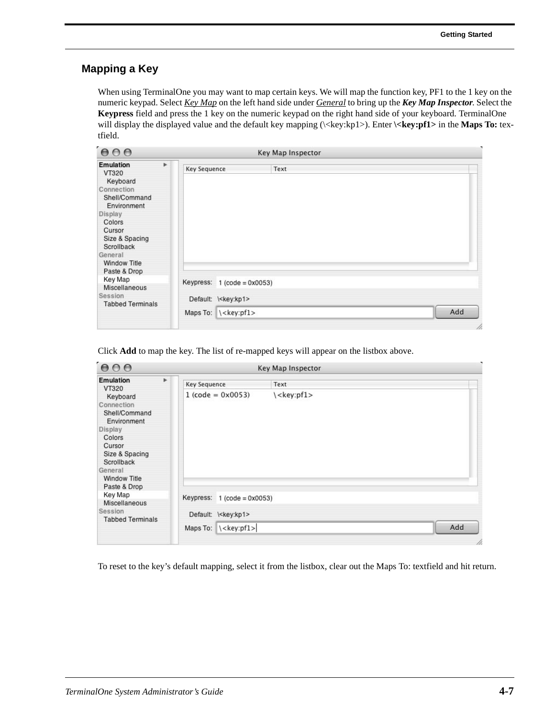#### **Mapping a Key**

When using TerminalOne you may want to map certain keys. We will map the function key, PF1 to the 1 key on the numeric keypad. Select *Key Map* on the left hand side under *General* to bring up the *Key Map Inspector*. Select the **Keypress** field and press the 1 key on the numeric keypad on the right hand side of your keyboard. TerminalOne will display the displayed value and the default key mapping (\<key:kp1>). Enter **\<key:pf1>** in the **Maps To:** textfield.

| 000                                                                                                | Key Map Inspector                     |                                |      |     |
|----------------------------------------------------------------------------------------------------|---------------------------------------|--------------------------------|------|-----|
| <b>Emulation</b><br>VT320<br>Keyboard<br>Connection<br>Shell/Command<br>Environment<br>Display     | $\blacktriangleright$<br>Key Sequence |                                | Text |     |
| Colors<br>Cursor<br>Size & Spacing<br>Scrollback<br>General<br><b>Window Title</b><br>Paste & Drop |                                       |                                |      |     |
| Key Map<br>Miscellaneous                                                                           | Keypress:                             | $1 (code = 0x0053)$            |      |     |
| Session<br><b>Tabbed Terminals</b>                                                                 |                                       | Default: \ <key:kp1></key:kp1> |      |     |
|                                                                                                    |                                       | Maps To: \ <key:pf1></key:pf1> |      | Add |

Click **Add** to map the key. The list of re-mapped keys will appear on the listbox above.

| 000                                                                                                                                                                     |                                                                  | Key Map Inspector     |     |
|-------------------------------------------------------------------------------------------------------------------------------------------------------------------------|------------------------------------------------------------------|-----------------------|-----|
| $\blacktriangleright$<br><b>Emulation</b><br>VT320                                                                                                                      | Key Sequence                                                     | Text                  |     |
| Keyboard<br>Connection<br>Shell/Command<br>Environment<br>Display<br>Colors<br>Cursor<br>Size & Spacing<br>Scrollback<br>General<br><b>Window Title</b><br>Paste & Drop | $1 (code = 0x0053)$                                              | \ <key:pf1></key:pf1> |     |
| Key Map<br>Miscellaneous                                                                                                                                                | Keypress: $1 (code = 0x0053)$                                    |                       |     |
| Session<br><b>Tabbed Terminals</b>                                                                                                                                      | Default: \ <key:kp1><br/>Maps To: \<key:pf1></key:pf1></key:kp1> |                       | Add |
|                                                                                                                                                                         |                                                                  |                       |     |

To reset to the key's default mapping, select it from the listbox, clear out the Maps To: textfield and hit return.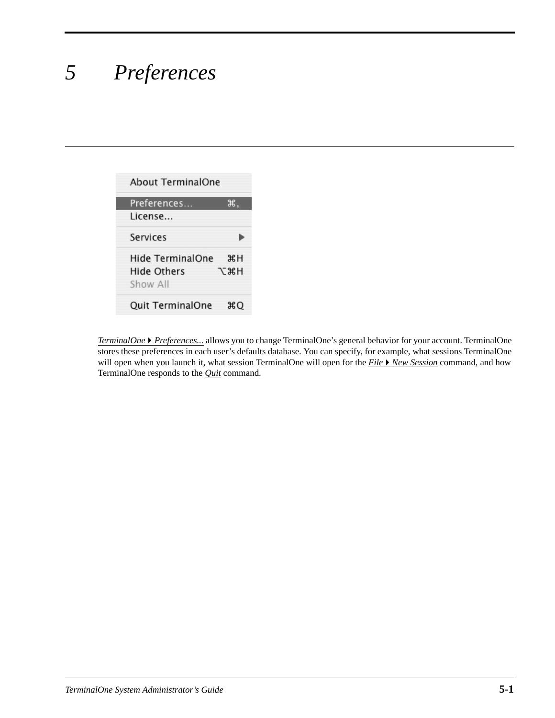# *5 Preferences*

| <b>About TerminalOne</b>                    |           |
|---------------------------------------------|-----------|
| Preferences<br>License                      | ж.        |
| Services                                    |           |
| Hide TerminalOne<br>Hide Others<br>Show All | жH<br>てポH |
| Quit TerminalOne                            | жO        |

*TerminalOne* ▶ *Preferences...* allows you to change TerminalOne's general behavior for your account. TerminalOne stores these preferences in each user's defaults database. You can specify, for example, what sessions TerminalOne will open when you launch it, what session TerminalOne will open for the *File New Session* command, and how TerminalOne responds to the *Quit* command.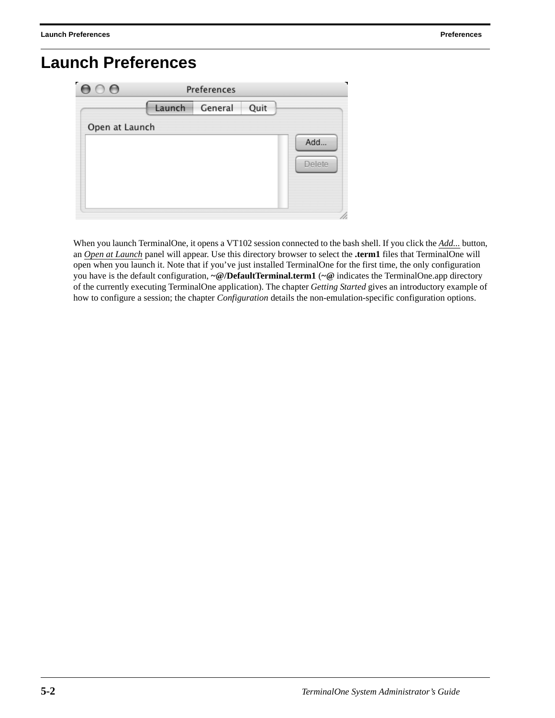## **Launch Preferences**

| ٠,<br>$\circ$ e |        | Preferences |      |        |
|-----------------|--------|-------------|------|--------|
|                 | Launch | General     | Quit |        |
| Open at Launch  |        |             |      |        |
|                 |        |             |      | Add    |
|                 |        |             |      | Delete |
|                 |        |             |      |        |
|                 |        |             |      |        |
|                 |        |             |      |        |

When you launch TerminalOne, it opens a VT102 session connected to the bash shell. If you click the *Add...* button, an *Open at Launch* panel will appear. Use this directory browser to select the **.term1** files that TerminalOne will open when you launch it. Note that if you've just installed TerminalOne for the first time, the only configuration you have is the default configuration, **~@/DefaultTerminal.term1** (**~@** indicates the TerminalOne.app directory of the currently executing TerminalOne application). The chapter *Getting Started* gives an introductory example of how to configure a session; the chapter *Configuration* details the non-emulation-specific configuration options.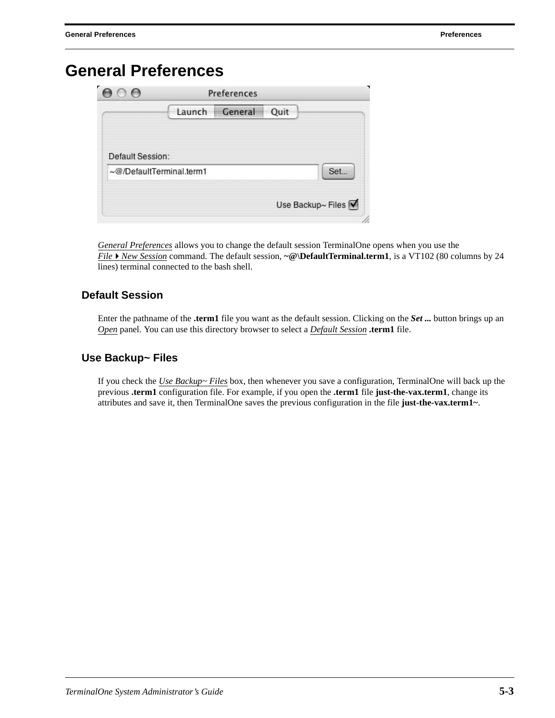### **General Preferences**

| $\epsilon$<br>$\circ$ e  |        | Preferences |      |                   |
|--------------------------|--------|-------------|------|-------------------|
|                          | Launch | General     | Quit |                   |
| Default Session:         |        |             |      |                   |
| ~@/DefaultTerminal.term1 |        |             |      | Set               |
|                          |        |             |      | Use Backup~ Files |
|                          |        |             |      |                   |

*General Preferences* allows you to change the default session TerminalOne opens when you use the *File* ▶ *New Session* command. The default session,  $~\textcircled{a}$  **DefaultTerminal.term1**, is a VT102 (80 columns by 24 lines) terminal connected to the bash shell.

#### **Default Session**

Enter the pathname of the **.term1** file you want as the default session. Clicking on the *Set ...* button brings up an *Open* panel. You can use this directory browser to select a *Default Session* **.term1** file.

#### **Use Backup~ Files**

If you check the *Use Backup~ Files* box, then whenever you save a configuration, TerminalOne will back up the previous **.term1** configuration file. For example, if you open the **.term1** file **just-the-vax.term1**, change its attributes and save it, then TerminalOne saves the previous configuration in the file **just-the-vax.term1~**.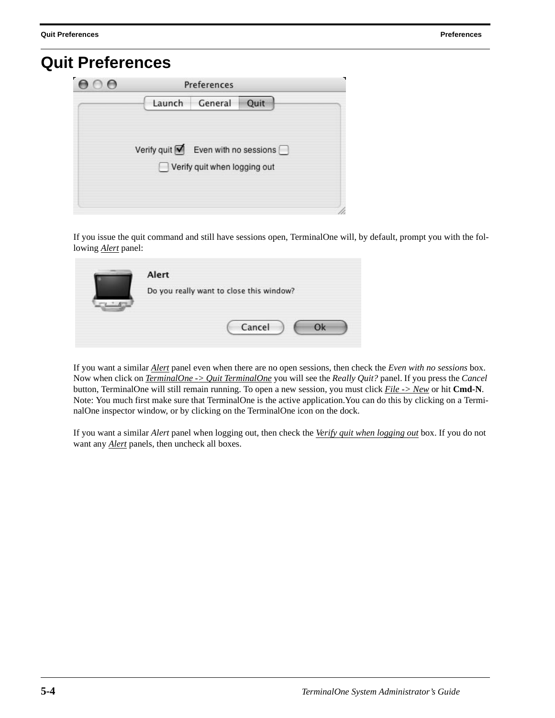### **Quit Preferences**

| 000 |                                                         | <b>Preferences</b>           |  |
|-----|---------------------------------------------------------|------------------------------|--|
|     |                                                         | Launch General Quit          |  |
|     | Verify quit $\blacksquare$ Even with no sessions $\Box$ |                              |  |
|     |                                                         | Verify quit when logging out |  |
|     |                                                         |                              |  |

If you issue the quit command and still have sessions open, TerminalOne will, by default, prompt you with the following *Alert* panel:

| Alert                                    |
|------------------------------------------|
| Do you really want to close this window? |
| Cancel                                   |

If you want a similar *Alert* panel even when there are no open sessions, then check the *Even with no sessions* box. Now when click on *TerminalOne -> Quit TerminalOne* you will see the *Really Quit?* panel. If you press the *Cancel*  button, TerminalOne will still remain running. To open a new session, you must click *File -> New* or hit **Cmd-N**. Note: You much first make sure that TerminalOne is the active application.You can do this by clicking on a TerminalOne inspector window, or by clicking on the TerminalOne icon on the dock*.*

If you want a similar *Alert* panel when logging out, then check the *Verify quit when logging out* box. If you do not want any *Alert* panels, then uncheck all boxes.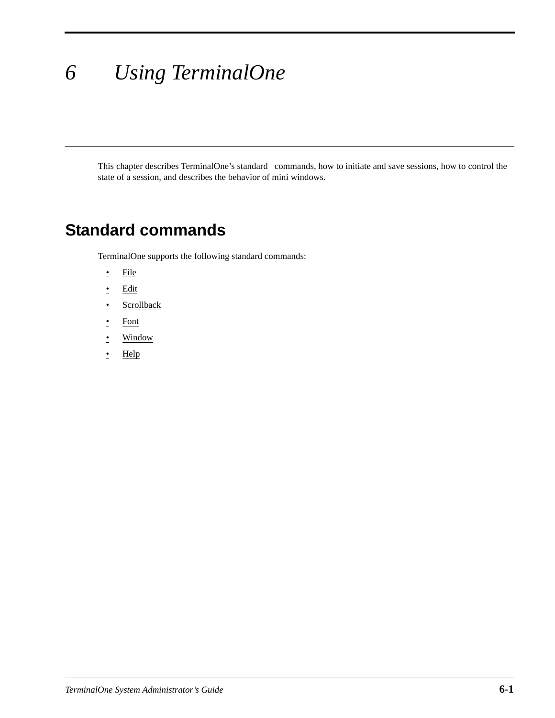# *6 Using TerminalOne*

This chapter describes TerminalOne's standard commands, how to initiate and save sessions, how to control the state of a session, and describes the behavior of mini windows.

### **Standard commands**

TerminalOne supports the following standard commands:

- File
- Edit
- Scrollback
- Font
- Window
- Help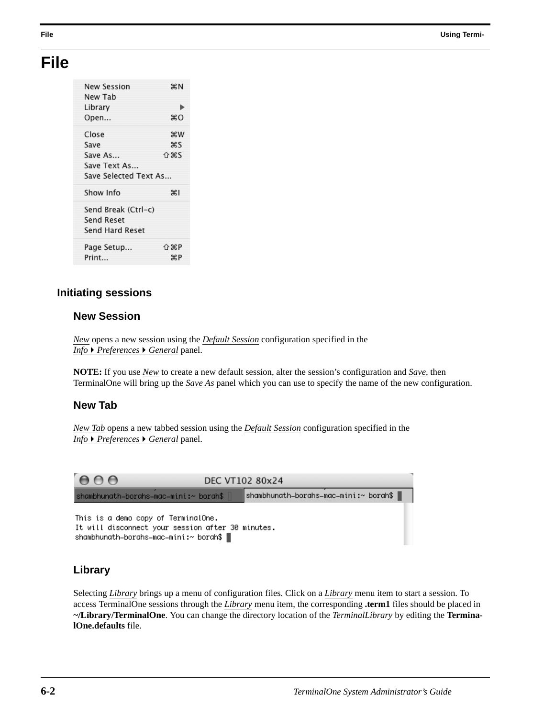### **File**

| New Session           | æΝ          |
|-----------------------|-------------|
| New Tab               |             |
| Library               | ь           |
| Open                  | жO          |
| Close                 | жw          |
| Save                  | жs          |
| Save As               |             |
| Save Text As          |             |
| Save Selected Text As |             |
| Show Info             | жı          |
| Send Break (Ctrl-c)   |             |
| <b>Send Reset</b>     |             |
| Send Hard Reset       |             |
| Page Setup            | <b>介</b> 第P |
| Print                 | жP          |

#### **Initiating sessions**

#### **New Session**

*New* opens a new session using the *Default Session* configuration specified in the *Info* ▶ *Preferences* ▶ *General* panel.

**NOTE:** If you use *New* to create a new default session, alter the session's configuration and *Save*, then TerminalOne will bring up the *Save As* panel which you can use to specify the name of the new configuration.

#### **New Tab**

*New Tab* opens a new tabbed session using the *Default Session* configuration specified in the *Info* ▶ *Preferences* ▶ *General* panel.



#### **Library**

Selecting *Library* brings up a menu of configuration files. Click on a *Library* menu item to start a session. To access TerminalOne sessions through the *Library* menu item, the corresponding **.term1** files should be placed in **~/Library/TerminalOne**. You can change the directory location of the *TerminalLibrary* by editing the **TerminalOne.defaults** file.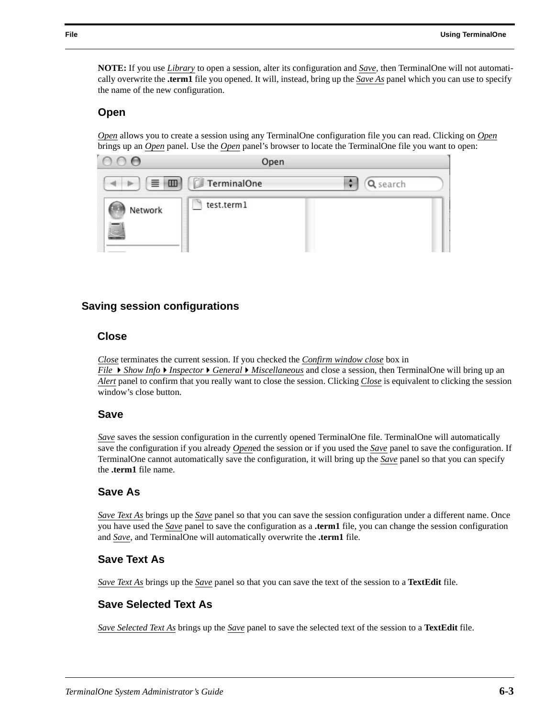**NOTE:** If you use *Library* to open a session, alter its configuration and *Save*, then TerminalOne will not automatically overwrite the **.term1** file you opened. It will, instead, bring up the *Save As* panel which you can use to specify the name of the new configuration.

#### **Open**

*Open* allows you to create a session using any TerminalOne configuration file you can read. Clicking on *Open* brings up an *Open* panel. Use the *Open* panel's browser to locate the TerminalOne file you want to open:



#### **Saving session configurations**

#### **Close**

*Close* terminates the current session. If you checked the *Confirm window close* box in

*File* ▶ *Show Info* ▶ *Inspector* ▶ *General* ▶ *Miscellaneous* and close a session, then TerminalOne will bring up an *Alert* panel to confirm that you really want to close the session. Clicking *Close* is equivalent to clicking the session window's close button.

#### **Save**

*Save* saves the session configuration in the currently opened TerminalOne file. TerminalOne will automatically save the configuration if you already *Open*ed the session or if you used the *Save* panel to save the configuration. If TerminalOne cannot automatically save the configuration, it will bring up the *Save* panel so that you can specify the **.term1** file name.

#### **Save As**

*Save Text As* brings up the *Save* panel so that you can save the session configuration under a different name. Once you have used the *Save* panel to save the configuration as a **.term1** file, you can change the session configuration and *Save*, and TerminalOne will automatically overwrite the **.term1** file.

#### **Save Text As**

*Save Text As* brings up the *Save* panel so that you can save the text of the session to a **TextEdit** file.

#### **Save Selected Text As**

*Save Selected Text As* brings up the *Save* panel to save the selected text of the session to a **TextEdit** file.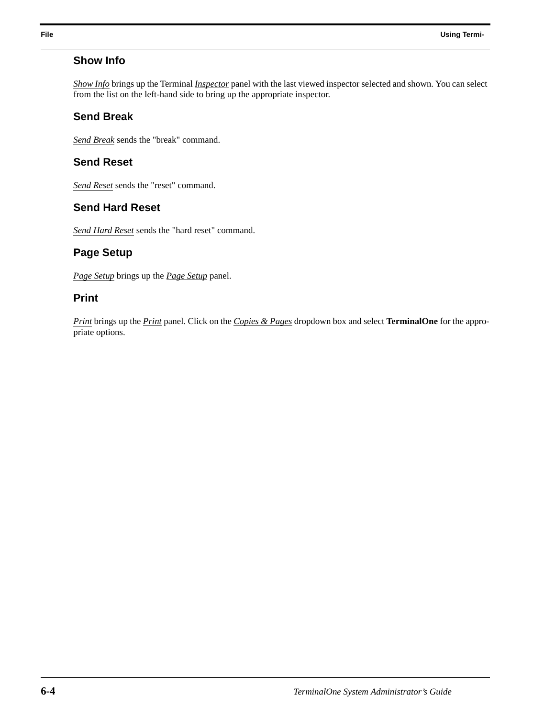#### **Show Info**

*Show Info* brings up the Terminal *Inspector* panel with the last viewed inspector selected and shown. You can select from the list on the left-hand side to bring up the appropriate inspector.

#### **Send Break**

*Send Break* sends the "break" command.

#### **Send Reset**

*Send Reset* sends the "reset" command.

#### **Send Hard Reset**

*Send Hard Reset* sends the "hard reset" command.

#### **Page Setup**

*Page Setup* brings up the *Page Setup* panel.

#### **Print**

*Print* brings up the *Print* panel. Click on the *Copies & Pages* dropdown box and select **TerminalOne** for the appropriate options.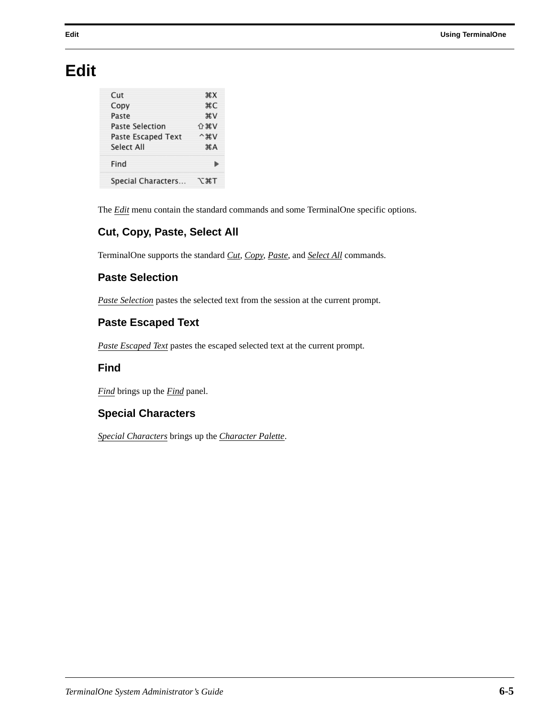### **Edit**

| Cut                    | $*X$                              |
|------------------------|-----------------------------------|
| Copy                   | жC                                |
| Paste                  | AV                                |
| <b>Paste Selection</b> | <b>企</b> 第Ⅴ                       |
| Paste Escaped Text     | $^{\wedge}$ $^{\circ}$ $^{\circ}$ |
| Select All             | A                                 |
| Find                   |                                   |
| Special Characters     | てまて                               |

The *Edit* menu contain the standard commands and some TerminalOne specific options.

#### **Cut, Copy, Paste, Select All**

TerminalOne supports the standard *Cut, Copy, Paste*, and *Select All* commands.

#### **Paste Selection**

*Paste Selection* pastes the selected text from the session at the current prompt.

#### **Paste Escaped Text**

*Paste Escaped Text* pastes the escaped selected text at the current prompt.

#### **Find**

*Find* brings up the *Find* panel.

#### **Special Characters**

*Special Characters* brings up the *Character Palette*.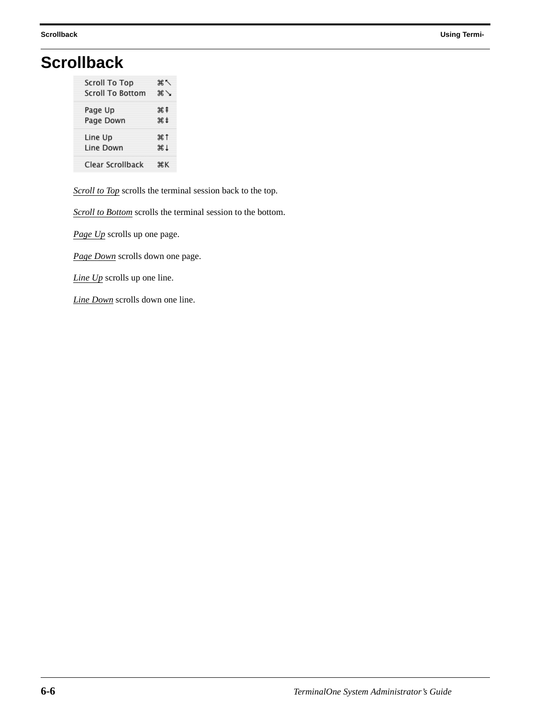# **Scrollback**

| <b>Scroll To Top</b>    | ิ ≭ิ                    |
|-------------------------|-------------------------|
| <b>Scroll To Bottom</b> | $\mathscr{H} \setminus$ |
| Page Up                 | X#                      |
| Page Down               | жŧ                      |
| Line Up                 | #1                      |
| Line Down               | #1                      |
| Clear Scrollback        | жĸ                      |

*Scroll to Top* scrolls the terminal session back to the top.

*Scroll to Bottom* scrolls the terminal session to the bottom.

*Page Up* scrolls up one page.

*Page Down* scrolls down one page.

*Line Up* scrolls up one line.

*Line Down* scrolls down one line.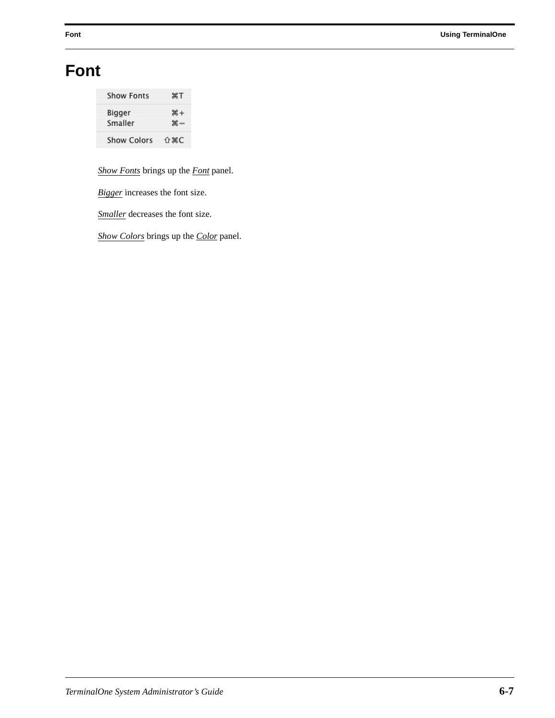# **Font**

| Show Fonts         | жT                         |
|--------------------|----------------------------|
| Bigger<br>Smaller  | $# +$<br>$\mathcal{H}$ $-$ |
| <b>Show Colors</b> | <b>介 ポC</b>                |

*Show Fonts* brings up the *Font* panel.

*Bigger* increases the font size.

*Smaller* decreases the font size.

*Show Colors* brings up the *Color* panel.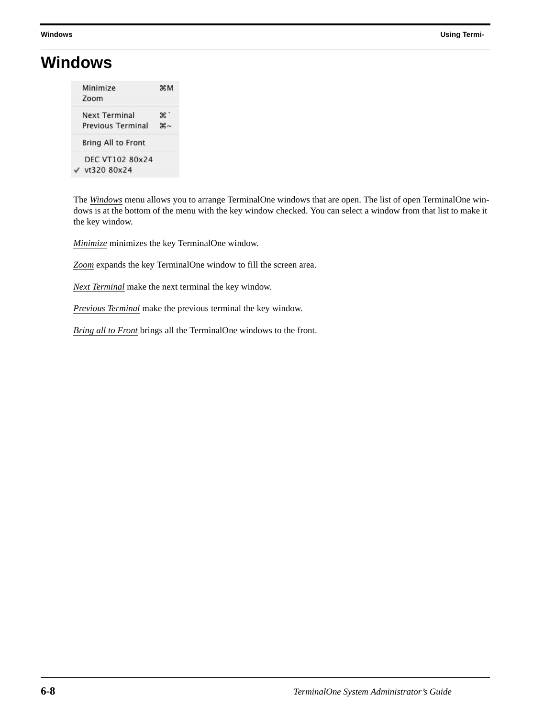## **Windows**

| Minimize<br>Zoom                   | жM                     |
|------------------------------------|------------------------|
| Next Terminal<br>Previous Terminal | ж,`<br>$\text{H} \sim$ |
| Bring All to Front                 |                        |
| DEC VT102 80x24<br>vt320 80x24     |                        |

The *Windows* menu allows you to arrange TerminalOne windows that are open. The list of open TerminalOne windows is at the bottom of the menu with the key window checked. You can select a window from that list to make it the key window.

*Minimize* minimizes the key TerminalOne window.

*Zoom* expands the key TerminalOne window to fill the screen area.

*Next Terminal* make the next terminal the key window.

*Previous Terminal* make the previous terminal the key window.

*Bring all to Front* brings all the TerminalOne windows to the front.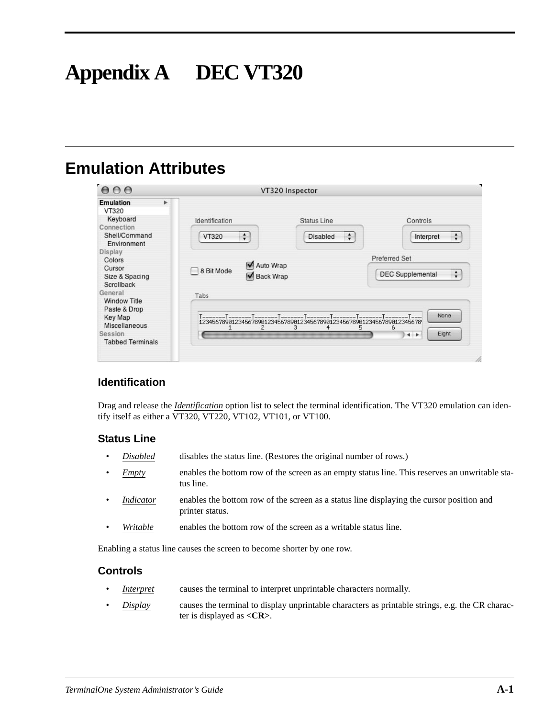# **Appendix A DEC VT320**

# **Emulation Attributes**

| 000                                                                                                              |   |                                      | VT320 Inspector           |                                                               |
|------------------------------------------------------------------------------------------------------------------|---|--------------------------------------|---------------------------|---------------------------------------------------------------|
| <b>Emulation</b><br>VT320<br>Keyboard                                                                            | r | Identification                       | Status Line               | Controls                                                      |
| Connection                                                                                                       |   |                                      |                           |                                                               |
| Shell/Command<br>Environment                                                                                     |   | $\div$<br>VT320                      | $\div$<br><b>Disabled</b> | $\div$<br>Interpret                                           |
| Display<br>Colors<br>Cursor<br>Size & Spacing<br>Scrollback                                                      |   | Auto Wrap<br>8 Bit Mode<br>Back Wrap |                           | <b>Preferred Set</b><br>$\ddot{.}$<br><b>DEC Supplemental</b> |
| General<br><b>Window Title</b><br>Paste & Drop<br>Key Map<br>Miscellaneous<br>Session<br><b>Tabbed Terminals</b> |   | Tabs<br>2                            | з<br>5<br>4               | None<br>6<br>Eight<br>$\leftarrow$                            |

#### **Identification**

Drag and release the *Identification* option list to select the terminal identification. The VT320 emulation can identify itself as either a VT320, VT220, VT102, VT101, or VT100.

#### **Status Line**

- *Disabled* disables the status line. (Restores the original number of rows.)
- *Empty* enables the bottom row of the screen as an empty status line. This reserves an unwritable status line.
- *Indicator* enables the bottom row of the screen as a status line displaying the cursor position and printer status.
- *Writable* enables the bottom row of the screen as a writable status line.

Enabling a status line causes the screen to become shorter by one row.

#### **Controls**

- *Interpret* causes the terminal to interpret unprintable characters normally.
- *Display* causes the terminal to display unprintable characters as printable strings, e.g. the CR character is displayed as **<CR>**.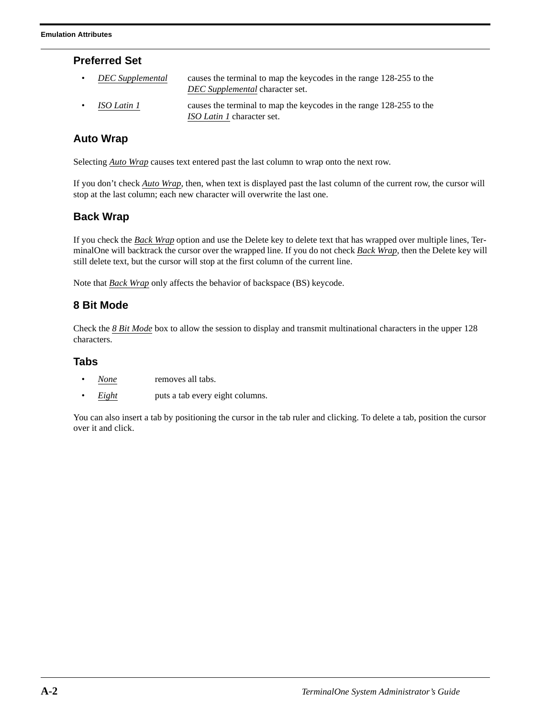#### **Preferred Set**

- *DEC Supplemental* causes the terminal to map the keycodes in the range 128-255 to the *DEC Supplemental* character set.
	- *ISO Latin 1* causes the terminal to map the keycodes in the range 128-255 to the *ISO Latin 1* character set.

#### **Auto Wrap**

Selecting *Auto Wrap* causes text entered past the last column to wrap onto the next row.

If you don't check *Auto Wrap*, then, when text is displayed past the last column of the current row, the cursor will stop at the last column; each new character will overwrite the last one.

#### **Back Wrap**

If you check the *Back Wrap* option and use the Delete key to delete text that has wrapped over multiple lines, TerminalOne will backtrack the cursor over the wrapped line. If you do not check *Back Wrap*, then the Delete key will still delete text, but the cursor will stop at the first column of the current line.

Note that *Back Wrap* only affects the behavior of backspace (BS) keycode.

#### **8 Bit Mode**

Check the *8 Bit Mode* box to allow the session to display and transmit multinational characters in the upper 128 characters.

#### **Tabs**

- *None* removes all tabs.
- *Eight* puts a tab every eight columns.

You can also insert a tab by positioning the cursor in the tab ruler and clicking. To delete a tab, position the cursor over it and click.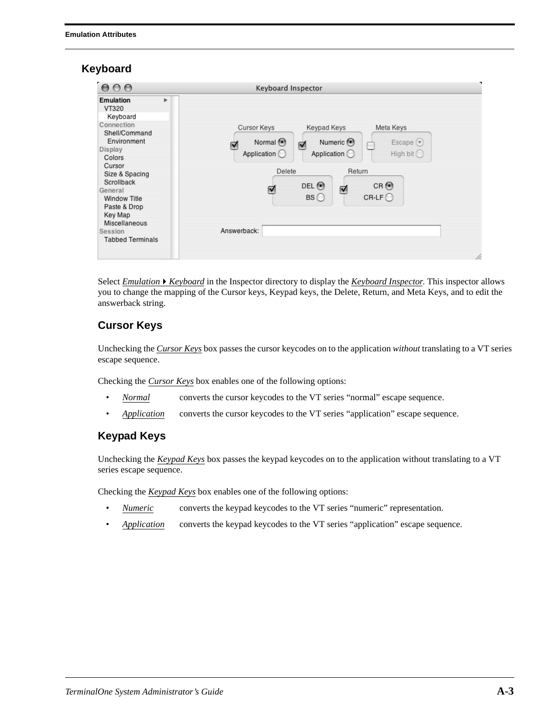#### **Keyboard**



Select *EmulationKeyboard* in the Inspector directory to display the *Keyboard Inspector*. This inspector allows you to change the mapping of the Cursor keys, Keypad keys, the Delete, Return, and Meta Keys, and to edit the answerback string.

#### **Cursor Keys**

Unchecking the *Cursor Keys* box passes the cursor keycodes on to the application *without* translating to a VT series escape sequence.

Checking the *Cursor Keys* box enables one of the following options:

- *Normal* converts the cursor keycodes to the VT series "normal" escape sequence.
- *Application* converts the cursor keycodes to the VT series "application" escape sequence.

#### **Keypad Keys**

Unchecking the *Keypad Keys* box passes the keypad keycodes on to the application without translating to a VT series escape sequence.

Checking the *Keypad Keys* box enables one of the following options:

- *Numeric* converts the keypad keycodes to the VT series "numeric" representation.
- *Application* converts the keypad keycodes to the VT series "application" escape sequence.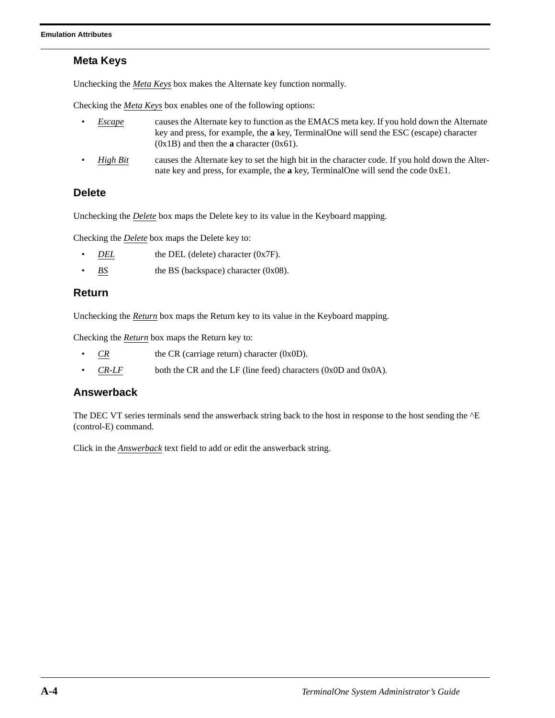#### **Meta Keys**

Unchecking the *Meta Keys* box makes the Alternate key function normally.

Checking the *Meta Keys* box enables one of the following options:

- *Escape* causes the Alternate key to function as the EMACS meta key. If you hold down the Alternate key and press, for example, the **a** key, TerminalOne will send the ESC (escape) character (0x1B) and then the **a** character (0x61).
- *High Bit* causes the Alternate key to set the high bit in the character code. If you hold down the Alternate key and press, for example, the **a** key, TerminalOne will send the code 0xE1.

#### **Delete**

Unchecking the *Delete* box maps the Delete key to its value in the Keyboard mapping.

Checking the *Delete* box maps the Delete key to:

- *DEL* the DEL (delete) character (0x7F).
- *BS* the BS (backspace) character (0x08).

#### **Return**

Unchecking the *Return* box maps the Return key to its value in the Keyboard mapping.

Checking the *Return* box maps the Return key to:

- $\overline{CR}$  the CR (carriage return) character (0x0D).
- $CR$ -*LF* both the CR and the LF (line feed) characters (0x0D and 0x0A).

#### **Answerback**

The DEC VT series terminals send the answerback string back to the host in response to the host sending the  $^{\wedge}E$ (control-E) command.

Click in the *Answerback* text field to add or edit the answerback string.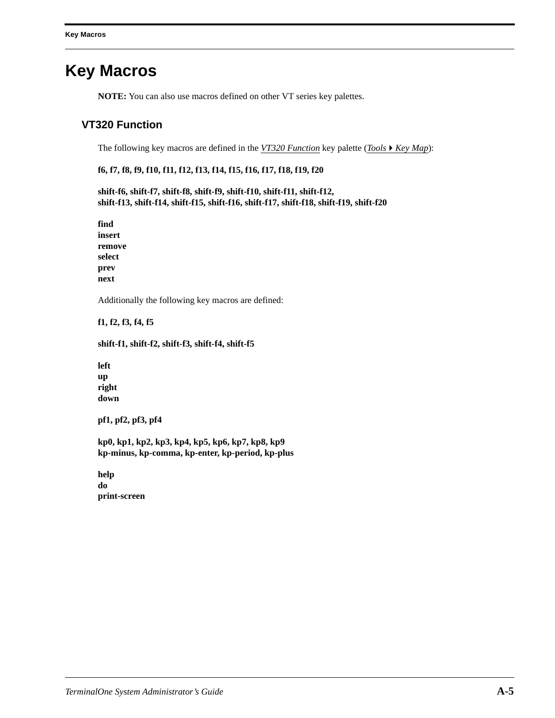### **Key Macros**

**NOTE:** You can also use macros defined on other VT series key palettes.

#### **VT320 Function**

The following key macros are defined in the *VT320 Function* key palette (*Tools*  $\blacktriangleright$  *Key Map*):

#### **f6, f7, f8, f9, f10, f11, f12, f13, f14, f15, f16, f17, f18, f19, f20**

**shift-f6, shift-f7, shift-f8, shift-f9, shift-f10, shift-f11, shift-f12, shift-f13, shift-f14, shift-f15, shift-f16, shift-f17, shift-f18, shift-f19, shift-f20**

**find insert remove select prev next**

Additionally the following key macros are defined:

**f1, f2, f3, f4, f5**

#### **shift-f1, shift-f2, shift-f3, shift-f4, shift-f5**

**left up right down**

**pf1, pf2, pf3, pf4**

**kp0, kp1, kp2, kp3, kp4, kp5, kp6, kp7, kp8, kp9 kp-minus, kp-comma, kp-enter, kp-period, kp-plus**

**help do print-screen**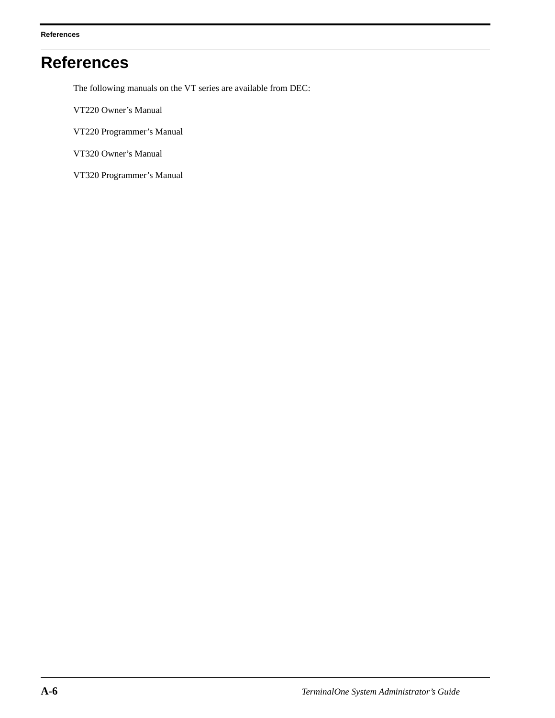# **References**

The following manuals on the VT series are available from DEC:

- VT220 Owner's Manual
- VT220 Programmer's Manual
- VT320 Owner's Manual
- VT320 Programmer's Manual